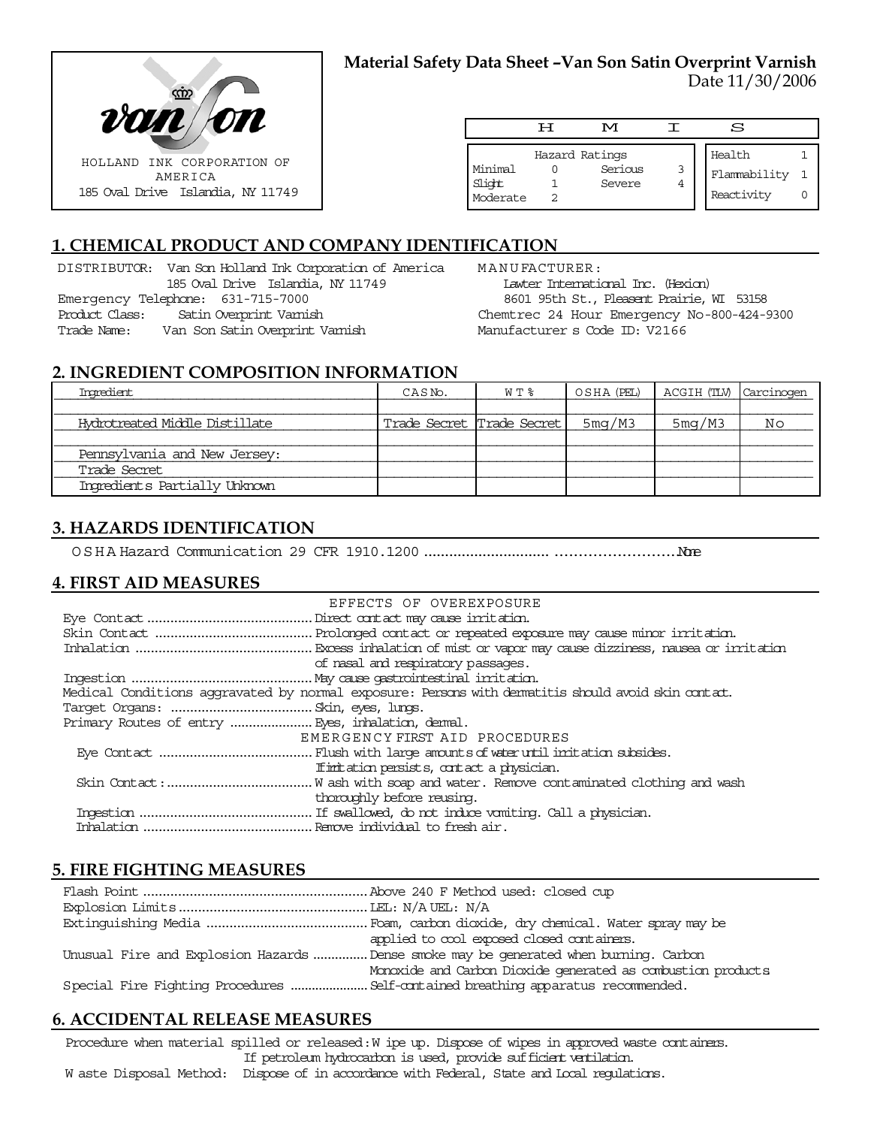

### **Material Safety Data Sheet –Van Son Satin Overprint Varnish** Date 11/30/2006

|                               | ਸ | M                                   |        | S                                    |  |
|-------------------------------|---|-------------------------------------|--------|--------------------------------------|--|
| Minimal<br>Slight<br>Moderate |   | Hazard Ratings<br>Serious<br>Severe | 3<br>4 | Health<br>Flammability<br>Reactivity |  |

# **1. CHEMICAL PRODUCT AND COMPANY IDENTIFICATION**

DISTRIBUTOR: Van Son Holland Ink Corporation of America 185 Oval Drive Islandia, NY 11749 Emergency Telephone: 631-715-7000 Product Class: Satin Overprint Varnish Trade Name: Van Son Satin Overprint Varnish

MANUFACTURER: Lawter International Inc. (Hexion) 8601 95th St., Pleasent Prairie, WI 53158 Chemtrec 24 Hour Emergency No-800-424-9300 Manufacturer s Code ID: V2166

### **2. INGREDIENT COMPOSITION INFORMATION**

| Ingredient                     | CASN <sub>o</sub> .        | W T % |        | OSHA (PEL)   ACGIH (TLV)   Carcinogen |    |
|--------------------------------|----------------------------|-------|--------|---------------------------------------|----|
|                                |                            |       |        |                                       |    |
| Hydrotreated Middle Distillate | Trade Secret  Trade Secret |       | 5mg/M3 | 5mg/M3                                | Νo |
|                                |                            |       |        |                                       |    |
| Pennsylvania and New Jersey:   |                            |       |        |                                       |    |
| Trade Secret                   |                            |       |        |                                       |    |
| Ingredients Partially Unknown  |                            |       |        |                                       |    |

### **3. HAZARDS IDENTIFICATION**

OSHA Hazard Communication 29 CFR 1910.1200........................................................None

### **4. FIRST AID MEASURES**

| EFFECTS OF OVEREXPOSURE                                                                            |
|----------------------------------------------------------------------------------------------------|
|                                                                                                    |
|                                                                                                    |
|                                                                                                    |
| of nasal and respiratory passages.                                                                 |
|                                                                                                    |
| Medical Conditions aggravated by normal exposure: Persons with dematitis should avoid skin contat. |
|                                                                                                    |
|                                                                                                    |
| EMERGENCY FIRST AID PROCEDURES                                                                     |
|                                                                                                    |
| If initiation persists, contact a physician.                                                       |
|                                                                                                    |
| thoroughly before reusing.                                                                         |
|                                                                                                    |
|                                                                                                    |

#### **5. FIRE FIGHTING MEASURES**

| applied to cool exposed closed containers.                                            |
|---------------------------------------------------------------------------------------|
| Unusual Fire and Explosion Hazards  Dense smoke may be generated when burning. Carbon |
| Monoxide and Carbon Dioxide generated as combustion products                          |
|                                                                                       |

### **6. ACCIDENTAL RELEASE MEASURES**

Procedure when material spilled or released: W ipe up. Dispose of wipes in approved waste containers. If petroleum hydrocarbon is used, provide sufficient ventilation.

W aste Disposal Method: Dispose of in accordance with Federal, State and Local regulations.